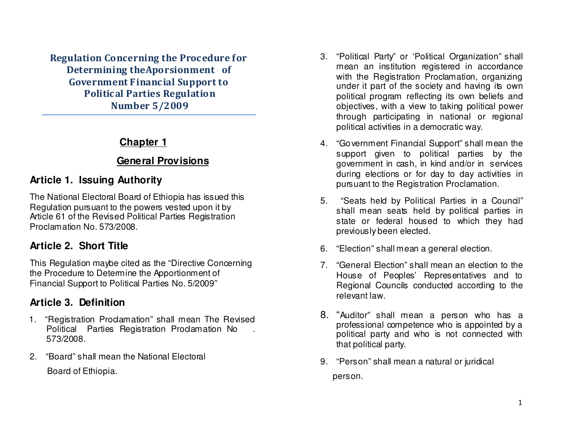Regulation Concerning the Procedure for Determining theAporsionment of Government Financial Support to Political Parties Regulation Number 5/2009

### **Chapter 1**

### **General Provisions**

# **Article 1. Issuing Authority**

The National Electoral Board of Ethiopia has issued this Regulation pursuant to the powers vested upon it by Article 61 of the Revised Political Parties Registration Proclamation No. 573/2008.

### **Article 2. Short Title**

This Regulation maybe cited as the "Directive Concerning the Procedure to Determine the Apportionment of Financial Support to Political Parties No. 5/2009"

# **Article 3. Definition**

- 1. "Registration Proclamation" shall mean The Revised Political Parties Registration Proclamation No 573/2008.
- 2. "Board" shall mean the National Electoral Board of Ethiopia.
- 3. "Political Party" or 'Political Organization" shall mean an institution registered in accordance with the Registration Proclamation, organizing under it part of the society and having its own political program reflecting its own beliefs and objectives, with a view to taking political power through participating in national or regional political activities in a democratic way.
- 4. "Government Financial Support" shall mean the support given to political parties by the government in cash, in kind and/or in services during elections or for day to day activities in pursuant to the Registration Proclamation.
- 5. "Seats held by Political Parties in a Council" shall mean seats held by political parties in state or federal housed to which they had previously been elected.
- 6. "Election" shall mean a general election.
- 7. "General Election" shall mean an election to the House of Peoples' Representatives and to Regional Councils conducted according to the relevant law.
- 8. "Auditor" shall mean a person who has a professional competence who is appointed by a political party and who is not connected with that political party.
- 9. "Person" shall mean a natural or juridical person.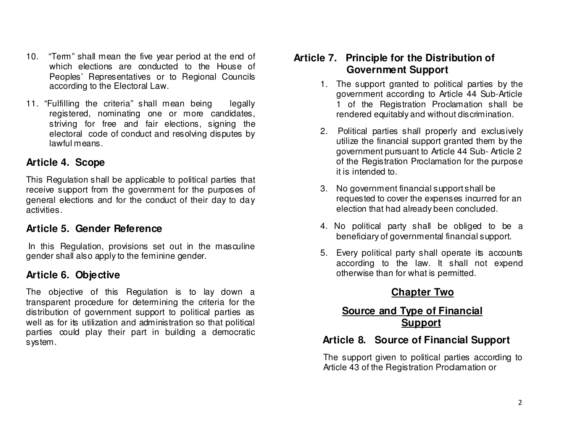- 10. "Term" shall mean the five year period at the end of which elections are conducted to the House of Peoples' Representatives or to Regional Councils according to the Electoral Law.
- 11. "Fulfilling the criteria" shall mean being legally registered, nominating one or more candidates, striving for free and fair elections, signing the electoral code of conduct and resolving disputes by lawful means.

#### **Article 4. Scope**

This Regulation shall be applicable to political parties that receive support from the government for the purposes of general elections and for the conduct of their day to day activities.

### **Article 5. Gender Reference**

 In this Regulation, provisions set out in the masculine gender shall also apply to the feminine gender.

### **Article 6. Objective**

The objective of this Regulation is to lay down a transparent procedure for determining the criteria for the distribution of government support to political parties as well as for its utilization and administration so that political parties could play their part in building a democratic system.

# **Article 7. Principle for the Distribution of Government Support**

- 1. The support granted to political parties by the government according to Article 44 Sub-Article 1 of the Registration Proclamation shall be rendered equitably and without discrimination.
- 2. Political parties shall properly and exclusively utilize the financial support granted them by the government pursuant to Article 44 Sub- Article 2 of the Registration Proclamation for the purpose it is intended to.
- 3. No government financial support shall be requested to cover the expenses incurred for an election that had already been concluded.
- 4. No political party shall be obliged to be a beneficiary of governmental financial support.
- 5. Every political party shall operate its accounts according to the law. It shall not expend otherwise than for what is permitted.

# **Chapter Two**

# **Source and Type of Financial Support**

# **Article 8. Source of Financial Support**

The support given to political parties according toArticle 43 of the Registration Proclamation or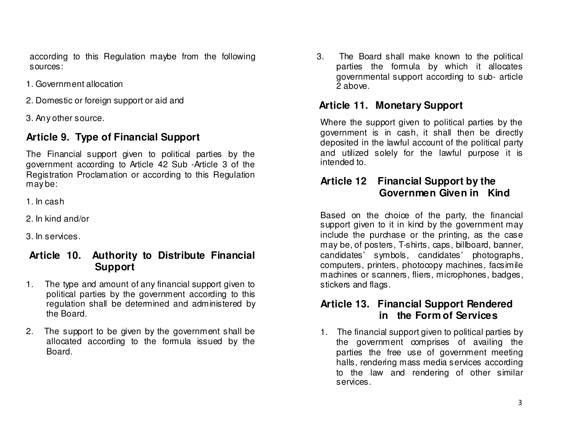according to this Regulation maybe from the following sources:

- 1. Government allocation
- 2. Domestic or foreign support or aid and
- 3. Any other source.

# **Article 9. Type of Financial Support**

The Financial support given to political parties by the government according to Article 42 Sub -Article 3 of the Registration Proclamation or according to this Regulation may be:

- 1. In cash
- 2. In kind and/or
- 3. In services.

# **Article 10. Authority to Distribute Financial Support**

- 1. The type and amount of any financial support given to political parties by the government according to this regulation shall be determined and administered by the Board.
- 2. The support to be given by the government shall be allocated according to the formula issued by the Board.

3. The Board shall make known to the political parties the formula by which it allocates governmental support according to sub- article 2 above.

# **Article 11. Monetary Support**

Where the support given to political parties by the government is in cash, it shall then be directly deposited in the lawful account of the political party and utilized solely for the lawful purpose it is intended to.

# **Article 12 Financial Support by the Governmen Given in Kind**

Based on the choice of the party, the financial support given to it in kind by the government may include the purchase or the printing, as the case may be, of posters, T-shirts, caps, billboard, banner, candidates' symbols, candidates' photographs, computers, printers, photocopy machines, facsimile machines or scanners, fliers, microphones, badges, stickers and flags.

### **Article 13. Financial Support Rendered in the Form of Services**

1. The financial support given to political parties by the government comprises of availing the parties the free use of government meeting halls, rendering mass media services according to the law and rendering of other similar services.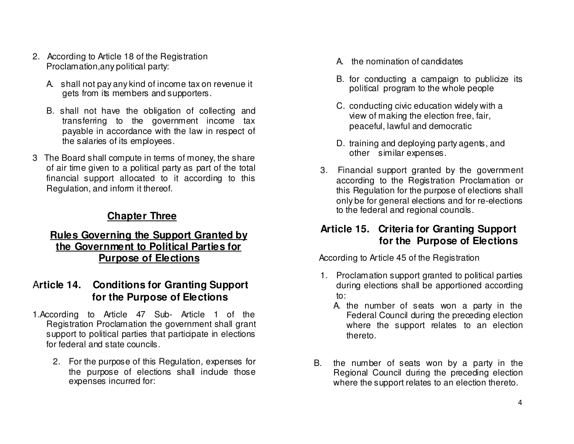- 2. According to Article 18 of the Registration Proclamation,any political party:
	- A. shall not pay any kind of income tax on revenue it gets from its members and supporters.
	- B. shall not have the obligation of collecting and transferring to the government income tax payable in accordance with the law in respect of the salaries of its employees.
- 3 The Board shall compute in terms of money, the share of air time given to a political party as part of the total financial support allocated to it according to thisRegulation, and inform it thereof.

# **Chapter Three**

#### **Rules Governing the Support Granted by the Government to Political Parties for Purpose of Elections**

### A**rticle 14. Conditions for Granting Support for the Purpose of Elections**

- 1.According to Article 47 Sub- Article 1 of the Registration Proclamation the government shall grant support to political parties that participate in elections for federal and state councils.
	- 2. For the purpose of this Regulation, expenses for the purpose of elections shall indude those expenses incurred for:
- A. the nomination of candidates
- B. for conducting a campaign to publicize its political program to the whole people
- C. conducting civic education widely with a view of making the election free, fair, peaceful, lawful and democratic
- D. training and deploying party agents, and other similar expenses.
- 3. Financial support granted by the government according to the Registration Proclamation or this Regulation for the purpose of elections shall only be for general elections and for re-elections to the federal and regional councils.

### **Article 15. Criteria for Granting Support for the Purpose of Elections**

According to Article 45 of the Registration

- 1. Proclamation support granted to political parties during elections shall be apportioned according to:
	- A. the number of seats won a party in the Federal Council during the preceding election where the support relates to an election thereto.
- B. the number of seats won by a party in the Regional Council during the preceding election where the support relates to an election thereto.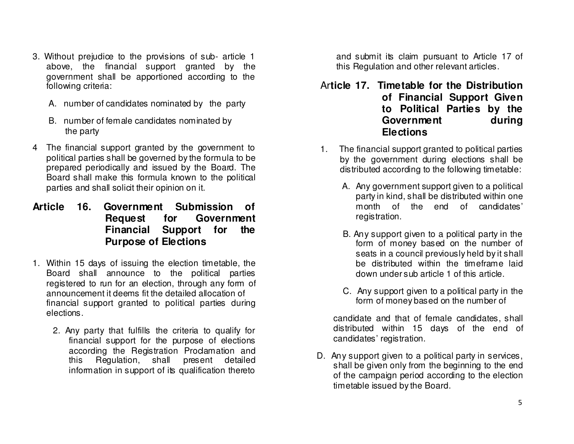- 3. Without prejudice to the provisions of sub- article 1 above, the financial support granted by the government shall be apportioned according to the following criteria:
	- A. number of candidates nominated by the party
	- B. number of female candidates nominated by the party
- 4 The financial support granted by the government to political parties shall be governed by the formula to be prepared periodically and issued by the Board. The Board shall make this formula known to the political parties and shall solicit their opinion on it.
- **Article 16. Government Submission of Request for Government Financial Support for the Purpose of Elections**
- 1. Within 15 days of issuing the election timetable, the Board shall announce to the political parties registered to run for an election, through any form of announcement it deems fit the detailed allocation of financial support granted to political parties during elections.
	- 2. Any party that fulfills the criteria to qualify for financial support for the purpose of elections according the Registration Proclamation and this Regulation, shall present detailed information in support of its qualification thereto

and submit its claim pursuant to Article 17 of this Regulation and other relevant articles.

- Ar**ticle 17. Timetable for the Distribution of Financial Support Given to Political Parties by the** during **Government Elections**
- 1. The financial support granted to political parties by the government during elections shall be distributed according to the following timetable:
	- A. Any government support given to a political party in kind, shall be distributed within one month of the end of candidates' registration.
	- B. Any support given to a political party in the form of money based on the number of seats in a council previously held by it shall be distributed within the timeframe laid down under sub article 1 of this article.
	- C. Any support given to a political party in the form of money based on the number of

candidate and that of female candidates, shall distributed within 15 days of the end of candidates' registration.

D. Any support given to a political party in services, shall be given only from the beginning to the end of the campaign period according to the election timetable issued by the Board.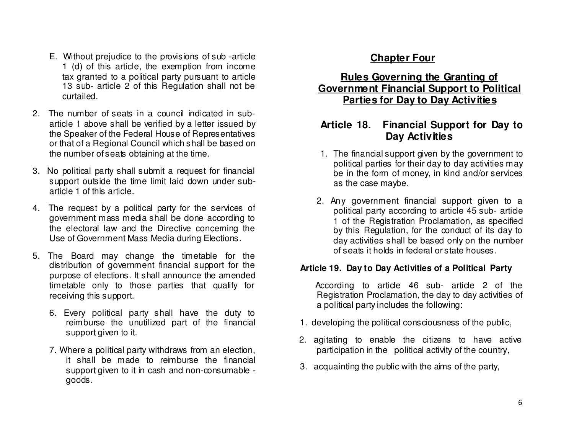- E. Without prejudice to the provisions of sub -article 1 (d) of this article, the exemption from income tax granted to a political party pursuant to article 13 sub- article 2 of this Regulation shall not be curtailed.
- 2. The number of seats in a council indicated in subarticle 1 above shall be verified by a letter issued by the Speaker of the Federal House of Representatives or that of a Regional Council which shall be based on the number of seats obtaining at the time.
- 3. No political party shall submit a request for financial support outside the time limit laid down under subarticle 1 of this article.
- 4. The request by a political party for the services of government mass media shall be done according to the electoral law and the Directive concerning the Use of Government Mass Media during Elections.
- 5. The Board may change the timetable for the distribution of government financial support for the purpose of elections. It shall announce the amended timetable only to those parties that qualify for receiving this support.
	- 6. Every political party shall have the duty to reimburse the unutilized part of the financial support given to it.
	- 7. Where a political party withdraws from an election, it shall be made to reimburse the financial support given to it in cash and non-consumable goods.

# **Chapter Four**

#### **Rules Governing the Granting of Government Financial Support to Political Parties for Day to Day Activities**

### **Article 18. Financial Support for Day to Day Activities**

- 1. The financial support given by the government to political parties for their day to day activities may be in the form of money, in kind and/or services as the case maybe.
- 2. Any government financial support given to a political party according to article 45 sub- article 1 of the Registration Proclamation, as specified by this Regulation, for the conduct of its day to day activities shall be based only on the number of seats it holds in federal or state houses.

#### **Article 19. Day to Day Activities of a Political Party**

According to article 46 sub- article 2 of the Registration Proclamation, the day to day activities of a political party includes the following:

- 1. developing the political consciousness of the public,
- 2. agitating to enable the citizens to have activeparticipation in the political activity of the country,
- 3. acquainting the public with the aims of the party,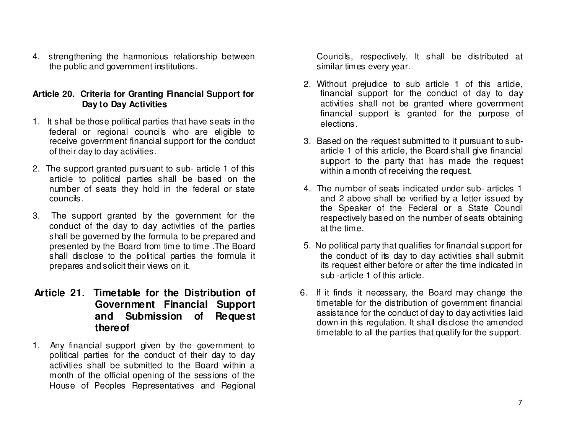4. strengthening the harmonious relationship between the public and government institutions.

#### **Article 20. Criteria for Granting Financial Support for Day to Day Activities**

- 1. It shall be those political parties that have seats in the federal or regional councils who are eligible to receive government financial support for the conduct of their day to day activities.
- 2. The support granted pursuant to sub- article 1 of this article to political parties shall be based on the number of seats they hold in the federal or state councils.
- 3. The support granted by the government for the conduct of the day to day activities of the parties shall be governed by the formula to be prepared and presented by the Board from time to time .The Board shall disclose to the political parties the formula it prepares and solicit their views on it.

#### **Article 21. Timetable for the Distribution of Government Financial Support and Submission of Request thereof**

1. Any financial support given by the government to political parties for the conduct of their day to day activities shall be submitted to the Board within a month of the official opening of the sessions of the House of Peoples Representatives and Regional Councils, respectively. It shall be distributed at similar times every year.

- 2. Without prejudice to sub article 1 of this article, financial support for the conduct of day to day activities shall not be granted where government financial support is granted for the purpose of elections.
- 3. Based on the request submitted to it pursuant to subarticle 1 of this article, the Board shall give financial support to the party that has made the request within a month of receiving the request.
- 4. The number of seats indicated under sub- articles 1 and 2 above shall be verified by a letter issued by the Speaker of the Federal or a State Council respectively based on the number of seats obtainingat the time.
- 5. No political party that qualifies for financial support for the conduct of its day to day activities shall submit its request either before or after the time indicated in sub -article 1 of this article.
- 6. If it finds it necessary, the Board may change the timetable for the distribution of government financial assistance for the conduct of day to day activities laid down in this regulation. It shall disclose the amended timetable to all the parties that qualify for the support.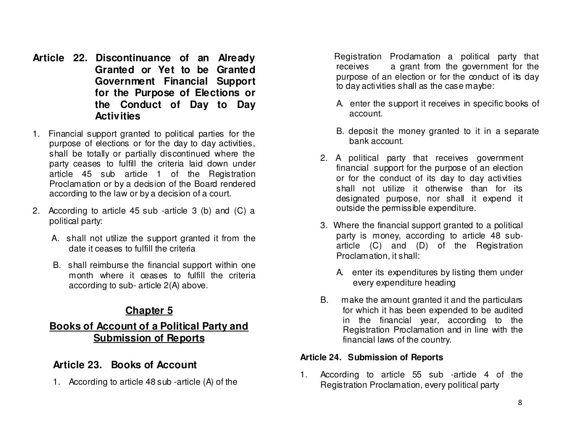- **Article 22. Discontinuance of an Already Granted or Yet to be Granted Government Financial Support for the Purpose of Elections or the Conduct of Day to Day Activities**
- 1. Financial support granted to political parties for the purpose of elections or for the day to day activities, shall be totally or partially discontinued where the party ceases to fulfill the criteria laid down under article 45 sub article 1 of the Registration Proclamation or by a decision of the Board renderedaccording to the law or by a decision of a court.
- 2. According to article 45 sub -article 3 (b) and (C) a political party:
	- A. shall not utilize the support granted it from the date it ceases to fulfill the criteria
	- B. shall reimburse the financial support within one month where it ceases to fulfill the criteria according to sub- article 2(A) above.

# **Chapter 5**

### **Books of Account of a Political Party and Submission of Reports**

### **Article 23. Books of Account**

1. According to article 48 sub -article (A) of the

 Registration Proclamation a political party that receives a grant from the government for the purpose of an election or for the conduct of its day to day activities shall as the case maybe:

- A. enter the support it receives in specific books of account.
- B. deposit the money granted to it in a separate bank account.
- 2. A political party that receives government financial support for the purpose of an election or for the conduct of its day to day activities shall not utilize it otherwise than for its designated purpose, nor shall it expend it outside the permissible expenditure.
- 3. Where the financial support granted to a political party is money, according to article 48 subarticle (C) and (D) of the Registration Proclamation, it shall:
	- A. enter its expenditures by listing them under every expenditure heading
- B. make the amount granted it and the particulars for which it has been expended to be audited in the financial year, according to the Registration Proclamation and in line with the financial laws of the country.

#### **Article 24. Submission of Reports**

1. According to article 55 sub -article 4 of the Registration Proclamation, every political party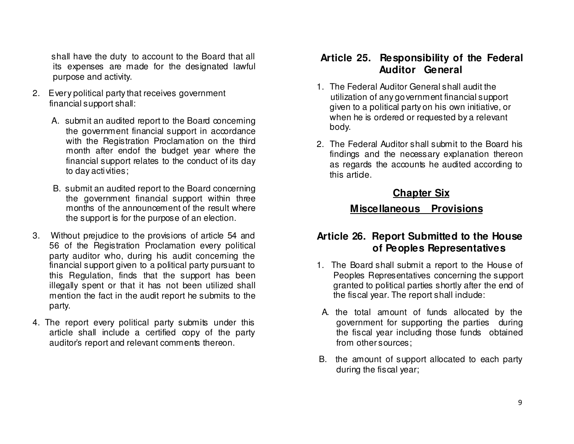shall have the duty to account to the Board that all its expenses are made for the designated lawful purpose and activity.

- 2. Every political party that receives government financial support shall:
	- A. submit an audited report to the Board concerning the government financial support in accordance with the Registration Proclamation on the third month after endof the budget year where the financial support relates to the conduct of its dayto day activities;
	- B. submit an audited report to the Board concerning the government financial support within three months of the announcement of the result where the support is for the purpose of an election.
- 3. Without prejudice to the provisions of article 54 and 56 of the Registration Proclamation every politicalparty auditor who, during his audit conceming the financial support given to a political party pursuant to this Regulation, finds that the support has been illegally spent or that it has not been utilized shall mention the fact in the audit report he submits to the party.
- 4. The report every political party submits under this article shall include a certified copy of the partyauditor's report and relevant comments thereon.

### **Article 25. Responsibility of the Federal Auditor General**

- 1. The Federal Auditor General shall audit the utilization of any government financial support given to a political party on his own initiative, or when he is ordered or requested by a relevant body.
- 2. The Federal Auditor shall submit to the Board his findings and the necessary explanation thereon as regards the accounts he audited according to this article.

# **Chapter Six**

# **Miscellaneous Provisions**

### **Article 26. Report Submitted to the House of Peoples Representatives**

- 1. The Board shall submit a report to the House of Peoples Representatives concerning the support granted to political parties shortly after the end of the fiscal year. The report shall include:
- A. the total amount of funds allocated by the government for supporting the parties during the fiscal year including those funds obtained from other sources;
- B. the amount of support allocated to each party during the fiscal year;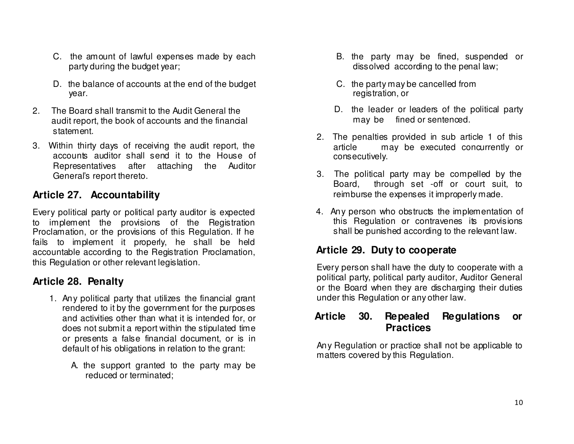- C. the amount of lawful expenses made by each party during the budget year;
- D. the balance of accounts at the end of the budget year.
- 2. The Board shall transmit to the Audit General the audit report, the book of accounts and the financial statement.
- 3. Within thirty days of receiving the audit report, the accounts auditor shall send it to the House of Representatives after attaching the Auditor General's report thereto.

# **Article 27. Accountability**

Every political party or political party auditor is expected to implement the provisions of the Registration Proclamation, or the provisions of this Regulation. If he fails to implement it properly, he shall be held accountable according to the Registration Proclamation, this Regulation or other relevant legislation.

### **Article 28. Penalty**

- 1. Any political party that utilizes the financial grant rendered to it by the government for the purposes and activities other than what it is intended for, or does not submit a report within the stipulated time or presents a false financial document, or is in default of his obligations in relation to the grant:
	- A. the support granted to the party may be reduced or terminated;
- B. the party may be fined, suspended or dissolved according to the penal law;
- C. the party may be cancelled from registration, or
- D. the leader or leaders of the political party may be fined or sentenced.
- 2. The penalties provided in sub article 1 of this article may be executed concurrently or consecutively.
- 3. The political party may be compelled by the Board, through set -off or court suit, to reimburse the expenses it improperly made.
- 4. Any person who obstructs the implementation of this Regulation or contravenes its provisions shall be punished according to the relevant law.

### **Article 29. Duty to cooperate**

Every person shall have the duty to cooperate with a political party, political party auditor, Auditor General or the Board when they are discharging their dutiesunder this Regulation or any other law.

#### **Article 30. Repealed Regulations or Practices**

Any Regulation or practice shall not be applicable to matters covered by this Regulation.